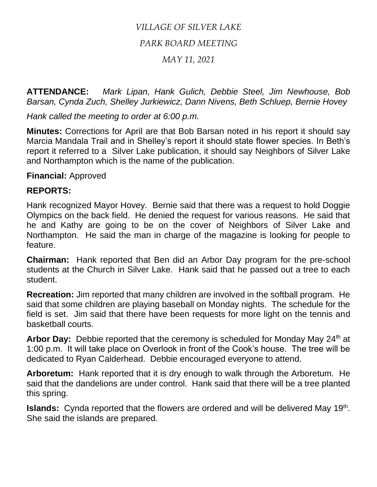## *VILLAGE OF SILVER LAKE*

## *PARK BOARD MEETING*

## *MAY 11, 2021*

**ATTENDANCE:** *Mark Lipan, Hank Gulich, Debbie Steel, Jim Newhouse, Bob Barsan, Cynda Zuch, Shelley Jurkiewicz, Dann Nivens, Beth Schluep, Bernie Hovey*

*Hank called the meeting to order at 6:00 p.m.*

**Minutes:** Corrections for April are that Bob Barsan noted in his report it should say Marcia Mandala Trail and in Shelley's report it should state flower species. In Beth's report it referred to a Silver Lake publication, it should say Neighbors of Silver Lake and Northampton which is the name of the publication.

**Financial:** Approved

## **REPORTS:**

Hank recognized Mayor Hovey. Bernie said that there was a request to hold Doggie Olympics on the back field. He denied the request for various reasons. He said that he and Kathy are going to be on the cover of Neighbors of Silver Lake and Northampton. He said the man in charge of the magazine is looking for people to feature.

**Chairman:** Hank reported that Ben did an Arbor Day program for the pre-school students at the Church in Silver Lake. Hank said that he passed out a tree to each student.

**Recreation:** Jim reported that many children are involved in the softball program. He said that some children are playing baseball on Monday nights. The schedule for the field is set. Jim said that there have been requests for more light on the tennis and basketball courts.

Arbor Day: Debbie reported that the ceremony is scheduled for Monday May 24<sup>th</sup> at 1:00 p.m. It will take place on Overlook in front of the Cook's house. The tree will be dedicated to Ryan Calderhead. Debbie encouraged everyone to attend.

**Arboretum:** Hank reported that it is dry enough to walk through the Arboretum. He said that the dandelions are under control. Hank said that there will be a tree planted this spring.

**Islands:** Cynda reported that the flowers are ordered and will be delivered May 19<sup>th</sup>. She said the islands are prepared.